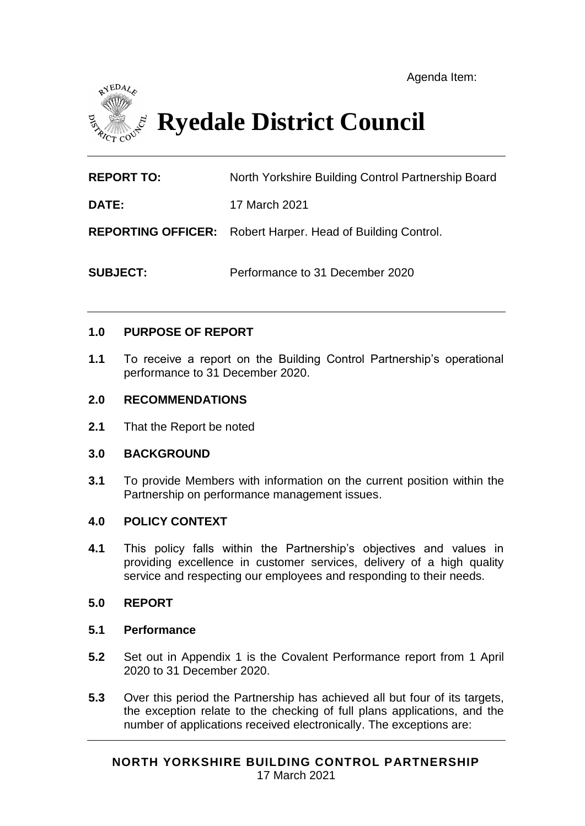

# **Ryedale District Council**

**REPORT TO:** North Yorkshire Building Control Partnership Board

**DATE:** 17 March 2021

**REPORTING OFFICER:** Robert Harper. Head of Building Control.

**SUBJECT:** Performance to 31 December 2020

#### **1.0 PURPOSE OF REPORT**

**1.1** To receive a report on the Building Control Partnership's operational performance to 31 December 2020.

#### **2.0 RECOMMENDATIONS**

**2.1** That the Report be noted

#### **3.0 BACKGROUND**

**3.1** To provide Members with information on the current position within the Partnership on performance management issues.

#### **4.0 POLICY CONTEXT**

**4.1** This policy falls within the Partnership's objectives and values in providing excellence in customer services, delivery of a high quality service and respecting our employees and responding to their needs.

#### **5.0 REPORT**

#### **5.1 Performance**

- **5.2** Set out in Appendix 1 is the Covalent Performance report from 1 April 2020 to 31 December 2020.
- **5.3** Over this period the Partnership has achieved all but four of its targets, the exception relate to the checking of full plans applications, and the number of applications received electronically. The exceptions are: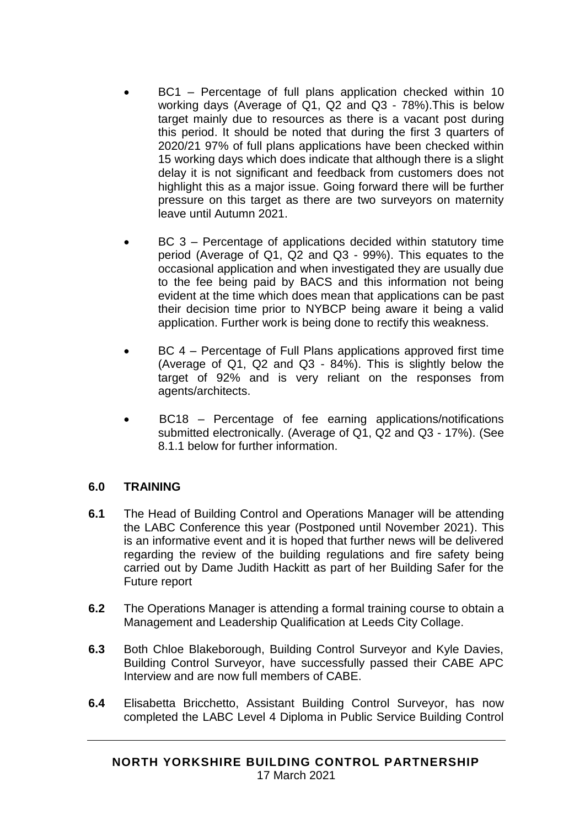- BC1 Percentage of full plans application checked within 10 working days (Average of Q1, Q2 and Q3 - 78%).This is below target mainly due to resources as there is a vacant post during this period. It should be noted that during the first 3 quarters of 2020/21 97% of full plans applications have been checked within 15 working days which does indicate that although there is a slight delay it is not significant and feedback from customers does not highlight this as a major issue. Going forward there will be further pressure on this target as there are two surveyors on maternity leave until Autumn 2021.
- BC 3 Percentage of applications decided within statutory time period (Average of Q1, Q2 and Q3 - 99%). This equates to the occasional application and when investigated they are usually due to the fee being paid by BACS and this information not being evident at the time which does mean that applications can be past their decision time prior to NYBCP being aware it being a valid application. Further work is being done to rectify this weakness.
- BC 4 Percentage of Full Plans applications approved first time (Average of Q1, Q2 and Q3 - 84%). This is slightly below the target of 92% and is very reliant on the responses from agents/architects.
- BC18 Percentage of fee earning applications/notifications submitted electronically. (Average of Q1, Q2 and Q3 - 17%). (See 8.1.1 below for further information.

## **6.0 TRAINING**

- **6.1** The Head of Building Control and Operations Manager will be attending the LABC Conference this year (Postponed until November 2021). This is an informative event and it is hoped that further news will be delivered regarding the review of the building regulations and fire safety being carried out by Dame Judith Hackitt as part of her Building Safer for the Future report
- **6.2** The Operations Manager is attending a formal training course to obtain a Management and Leadership Qualification at Leeds City Collage.
- **6.3** Both Chloe Blakeborough, Building Control Surveyor and Kyle Davies, Building Control Surveyor, have successfully passed their CABE APC Interview and are now full members of CABE.
- **6.4** Elisabetta Bricchetto, Assistant Building Control Surveyor, has now completed the LABC Level 4 Diploma in Public Service Building Control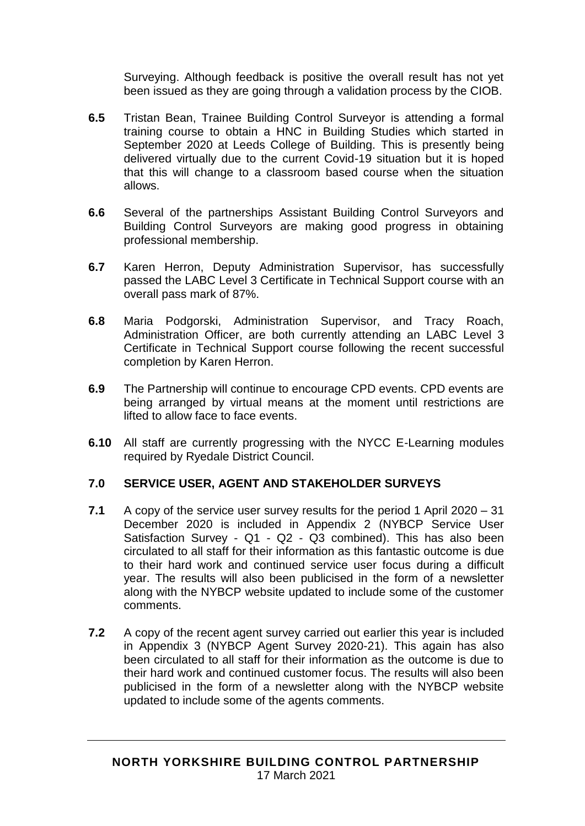Surveying. Although feedback is positive the overall result has not yet been issued as they are going through a validation process by the CIOB.

- **6.5** Tristan Bean, Trainee Building Control Surveyor is attending a formal training course to obtain a HNC in Building Studies which started in September 2020 at Leeds College of Building. This is presently being delivered virtually due to the current Covid-19 situation but it is hoped that this will change to a classroom based course when the situation allows.
- **6.6** Several of the partnerships Assistant Building Control Surveyors and Building Control Surveyors are making good progress in obtaining professional membership.
- **6.7** Karen Herron, Deputy Administration Supervisor, has successfully passed the LABC Level 3 Certificate in Technical Support course with an overall pass mark of 87%.
- **6.8** Maria Podgorski, Administration Supervisor, and Tracy Roach, Administration Officer, are both currently attending an LABC Level 3 Certificate in Technical Support course following the recent successful completion by Karen Herron.
- **6.9** The Partnership will continue to encourage CPD events. CPD events are being arranged by virtual means at the moment until restrictions are lifted to allow face to face events.
- **6.10** All staff are currently progressing with the NYCC E-Learning modules required by Ryedale District Council.

## **7.0 SERVICE USER, AGENT AND STAKEHOLDER SURVEYS**

- **7.1** A copy of the service user survey results for the period 1 April 2020 31 December 2020 is included in Appendix 2 (NYBCP Service User Satisfaction Survey - Q1 - Q2 - Q3 combined). This has also been circulated to all staff for their information as this fantastic outcome is due to their hard work and continued service user focus during a difficult year. The results will also been publicised in the form of a newsletter along with the NYBCP website updated to include some of the customer comments.
- **7.2** A copy of the recent agent survey carried out earlier this year is included in Appendix 3 (NYBCP Agent Survey 2020-21). This again has also been circulated to all staff for their information as the outcome is due to their hard work and continued customer focus. The results will also been publicised in the form of a newsletter along with the NYBCP website updated to include some of the agents comments.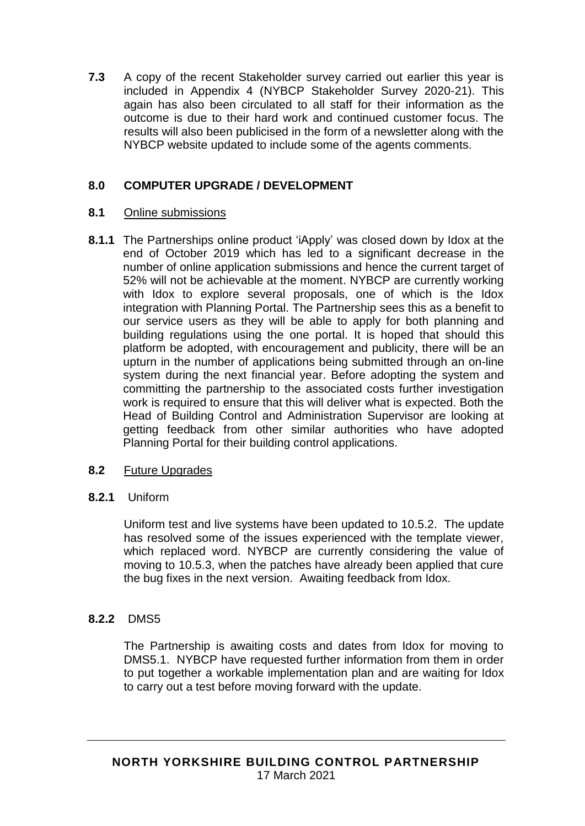**7.3** A copy of the recent Stakeholder survey carried out earlier this year is included in Appendix 4 (NYBCP Stakeholder Survey 2020-21). This again has also been circulated to all staff for their information as the outcome is due to their hard work and continued customer focus. The results will also been publicised in the form of a newsletter along with the NYBCP website updated to include some of the agents comments.

## **8.0 COMPUTER UPGRADE / DEVELOPMENT**

## **8.1** Online submissions

**8.1.1** The Partnerships online product 'iApply' was closed down by Idox at the end of October 2019 which has led to a significant decrease in the number of online application submissions and hence the current target of 52% will not be achievable at the moment. NYBCP are currently working with Idox to explore several proposals, one of which is the Idox integration with Planning Portal. The Partnership sees this as a benefit to our service users as they will be able to apply for both planning and building regulations using the one portal. It is hoped that should this platform be adopted, with encouragement and publicity, there will be an upturn in the number of applications being submitted through an on-line system during the next financial year. Before adopting the system and committing the partnership to the associated costs further investigation work is required to ensure that this will deliver what is expected. Both the Head of Building Control and Administration Supervisor are looking at getting feedback from other similar authorities who have adopted Planning Portal for their building control applications.

## **8.2** Future Upgrades

## **8.2.1** Uniform

Uniform test and live systems have been updated to 10.5.2. The update has resolved some of the issues experienced with the template viewer, which replaced word. NYBCP are currently considering the value of moving to 10.5.3, when the patches have already been applied that cure the bug fixes in the next version. Awaiting feedback from Idox.

## **8.2.2** DMS5

The Partnership is awaiting costs and dates from Idox for moving to DMS5.1. NYBCP have requested further information from them in order to put together a workable implementation plan and are waiting for Idox to carry out a test before moving forward with the update.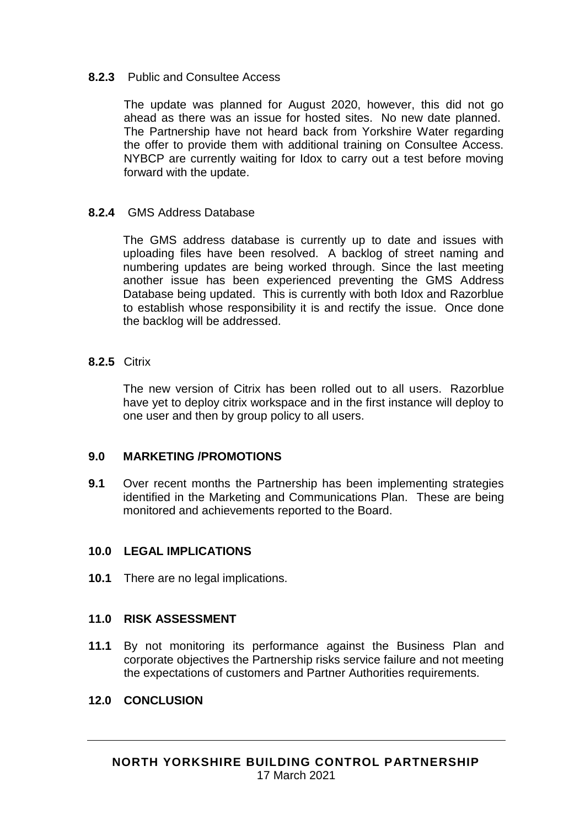#### **8.2.3** Public and Consultee Access

The update was planned for August 2020, however, this did not go ahead as there was an issue for hosted sites. No new date planned. The Partnership have not heard back from Yorkshire Water regarding the offer to provide them with additional training on Consultee Access. NYBCP are currently waiting for Idox to carry out a test before moving forward with the update.

## **8.2.4** GMS Address Database

The GMS address database is currently up to date and issues with uploading files have been resolved. A backlog of street naming and numbering updates are being worked through. Since the last meeting another issue has been experienced preventing the GMS Address Database being updated. This is currently with both Idox and Razorblue to establish whose responsibility it is and rectify the issue. Once done the backlog will be addressed.

#### **8.2.5** Citrix

The new version of Citrix has been rolled out to all users. Razorblue have yet to deploy citrix workspace and in the first instance will deploy to one user and then by group policy to all users.

## **9.0 MARKETING /PROMOTIONS**

**9.1** Over recent months the Partnership has been implementing strategies identified in the Marketing and Communications Plan. These are being monitored and achievements reported to the Board.

## **10.0 LEGAL IMPLICATIONS**

**10.1** There are no legal implications.

## **11.0 RISK ASSESSMENT**

**11.1** By not monitoring its performance against the Business Plan and corporate objectives the Partnership risks service failure and not meeting the expectations of customers and Partner Authorities requirements.

#### **12.0 CONCLUSION**